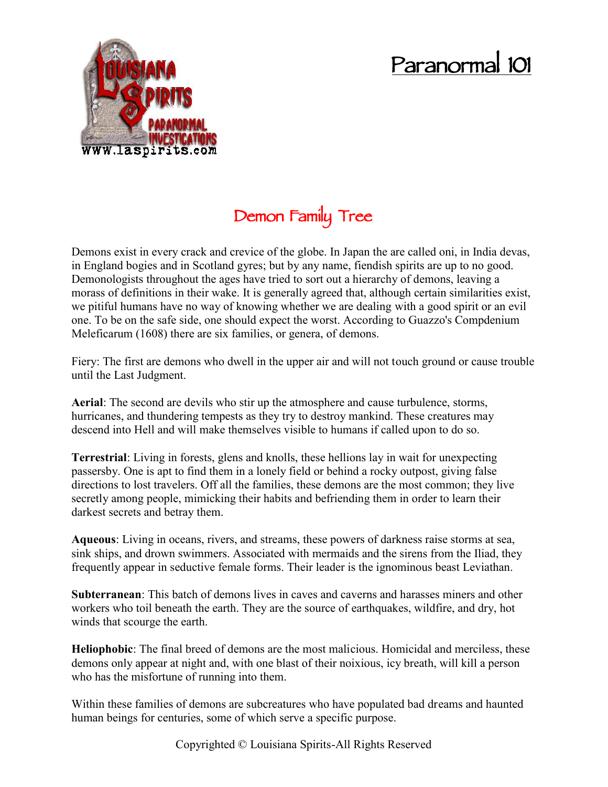# **Paranormal 101**



# **Demon Family Tree**

Demons exist in every crack and crevice of the globe. In Japan the are called oni, in India devas, in England bogies and in Scotland gyres; but by any name, fiendish spirits are up to no good. Demonologists throughout the ages have tried to sort out a hierarchy of demons, leaving a morass of definitions in their wake. It is generally agreed that, although certain similarities exist, we pitiful humans have no way of knowing whether we are dealing with a good spirit or an evil one. To be on the safe side, one should expect the worst. According to Guazzo's Compdenium Meleficarum (1608) there are six families, or genera, of demons.

Fiery: The first are demons who dwell in the upper air and will not touch ground or cause trouble until the Last Judgment.

**Aerial**: The second are devils who stir up the atmosphere and cause turbulence, storms, hurricanes, and thundering tempests as they try to destroy mankind. These creatures may descend into Hell and will make themselves visible to humans if called upon to do so.

**Terrestrial**: Living in forests, glens and knolls, these hellions lay in wait for unexpecting passersby. One is apt to find them in a lonely field or behind a rocky outpost, giving false directions to lost travelers. Off all the families, these demons are the most common; they live secretly among people, mimicking their habits and befriending them in order to learn their darkest secrets and betray them.

**Aqueous**: Living in oceans, rivers, and streams, these powers of darkness raise storms at sea, sink ships, and drown swimmers. Associated with mermaids and the sirens from the Iliad, they frequently appear in seductive female forms. Their leader is the ignominous beast Leviathan.

**Subterranean**: This batch of demons lives in caves and caverns and harasses miners and other workers who toil beneath the earth. They are the source of earthquakes, wildfire, and dry, hot winds that scourge the earth.

**Heliophobic**: The final breed of demons are the most malicious. Homicidal and merciless, these demons only appear at night and, with one blast of their noixious, icy breath, will kill a person who has the misfortune of running into them.

Within these families of demons are subcreatures who have populated bad dreams and haunted human beings for centuries, some of which serve a specific purpose.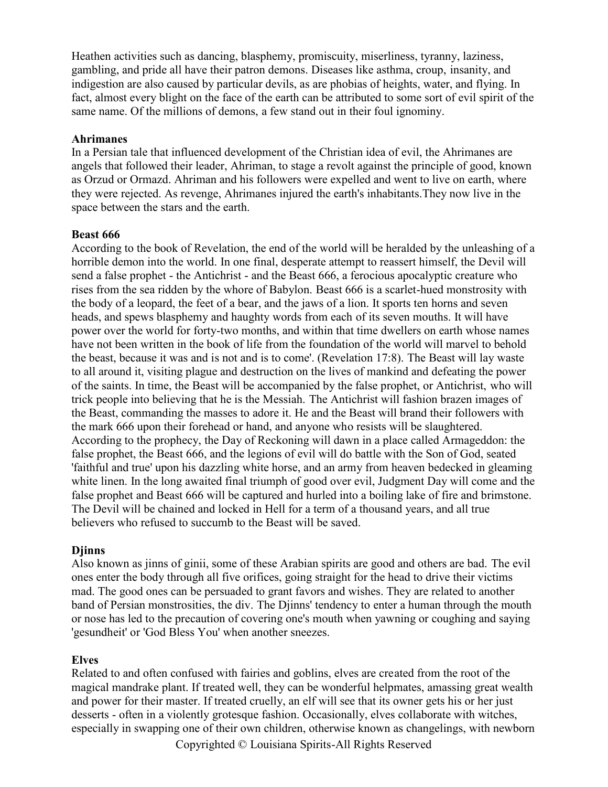Heathen activities such as dancing, blasphemy, promiscuity, miserliness, tyranny, laziness, gambling, and pride all have their patron demons. Diseases like asthma, croup, insanity, and indigestion are also caused by particular devils, as are phobias of heights, water, and flying. In fact, almost every blight on the face of the earth can be attributed to some sort of evil spirit of the same name. Of the millions of demons, a few stand out in their foul ignominy.

#### **Ahrimanes**

In a Persian tale that influenced development of the Christian idea of evil, the Ahrimanes are angels that followed their leader, Ahriman, to stage a revolt against the principle of good, known as Orzud or Ormazd. Ahriman and his followers were expelled and went to live on earth, where they were rejected. As revenge, Ahrimanes injured the earth's inhabitants.They now live in the space between the stars and the earth.

#### **Beast 666**

According to the book of Revelation, the end of the world will be heralded by the unleashing of a horrible demon into the world. In one final, desperate attempt to reassert himself, the Devil will send a false prophet - the Antichrist - and the Beast 666, a ferocious apocalyptic creature who rises from the sea ridden by the whore of Babylon. Beast 666 is a scarlet-hued monstrosity with the body of a leopard, the feet of a bear, and the jaws of a lion. It sports ten horns and seven heads, and spews blasphemy and haughty words from each of its seven mouths. It will have power over the world for forty-two months, and within that time dwellers on earth whose names have not been written in the book of life from the foundation of the world will marvel to behold the beast, because it was and is not and is to come'. (Revelation 17:8). The Beast will lay waste to all around it, visiting plague and destruction on the lives of mankind and defeating the power of the saints. In time, the Beast will be accompanied by the false prophet, or Antichrist, who will trick people into believing that he is the Messiah. The Antichrist will fashion brazen images of the Beast, commanding the masses to adore it. He and the Beast will brand their followers with the mark 666 upon their forehead or hand, and anyone who resists will be slaughtered. According to the prophecy, the Day of Reckoning will dawn in a place called Armageddon: the false prophet, the Beast 666, and the legions of evil will do battle with the Son of God, seated 'faithful and true' upon his dazzling white horse, and an army from heaven bedecked in gleaming white linen. In the long awaited final triumph of good over evil, Judgment Day will come and the false prophet and Beast 666 will be captured and hurled into a boiling lake of fire and brimstone. The Devil will be chained and locked in Hell for a term of a thousand years, and all true believers who refused to succumb to the Beast will be saved.

#### **Djinns**

Also known as jinns of ginii, some of these Arabian spirits are good and others are bad. The evil ones enter the body through all five orifices, going straight for the head to drive their victims mad. The good ones can be persuaded to grant favors and wishes. They are related to another band of Persian monstrosities, the div. The Djinns' tendency to enter a human through the mouth or nose has led to the precaution of covering one's mouth when yawning or coughing and saying 'gesundheit' or 'God Bless You' when another sneezes.

#### **Elves**

Related to and often confused with fairies and goblins, elves are created from the root of the magical mandrake plant. If treated well, they can be wonderful helpmates, amassing great wealth and power for their master. If treated cruelly, an elf will see that its owner gets his or her just desserts - often in a violently grotesque fashion. Occasionally, elves collaborate with witches, especially in swapping one of their own children, otherwise known as changelings, with newborn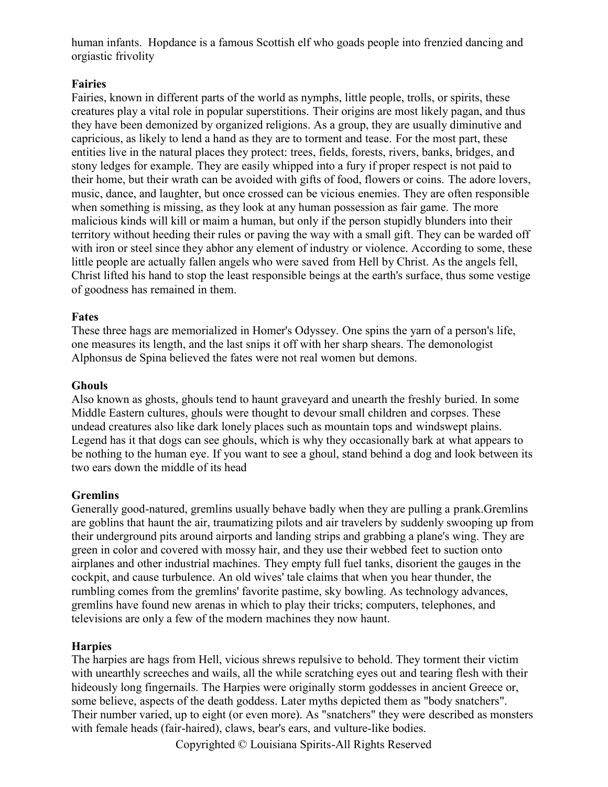human infants. Hopdance is a famous Scottish elf who goads people into frenzied dancing and orgiastic frivolity

#### **Fairies**

Fairies, known in different parts of the world as nymphs, little people, trolls, or spirits, these creatures play a vital role in popular superstitions. Their origins are most likely pagan, and thus they have been demonized by organized religions. As a group, they are usually diminutive and capricious, as likely to lend a hand as they are to torment and tease. For the most part, these entities live in the natural places they protect: trees, fields, forests, rivers, banks, bridges, and stony ledges for example. They are easily whipped into a fury if proper respect is not paid to their home, but their wrath can be avoided with gifts of food, flowers or coins. The adore lovers, music, dance, and laughter, but once crossed can be vicious enemies. They are often responsible when something is missing, as they look at any human possession as fair game. The more malicious kinds will kill or maim a human, but only if the person stupidly blunders into their territory without heeding their rules or paving the way with a small gift. They can be warded off with iron or steel since they abhor any element of industry or violence. According to some, these little people are actually fallen angels who were saved from Hell by Christ. As the angels fell, Christ lifted his hand to stop the least responsible beings at the earth's surface, thus some vestige of goodness has remained in them.

#### **Fates**

These three hags are memorialized in Homer's Odyssey. One spins the yarn of a person's life, one measures its length, and the last snips it off with her sharp shears. The demonologist Alphonsus de Spina believed the fates were not real women but demons.

#### **Ghouls**

Also known as ghosts, ghouls tend to haunt graveyard and unearth the freshly buried. In some Middle Eastern cultures, ghouls were thought to devour small children and corpses. These undead creatures also like dark lonely places such as mountain tops and windswept plains. Legend has it that dogs can see ghouls, which is why they occasionally bark at what appears to be nothing to the human eye. If you want to see a ghoul, stand behind a dog and look between its two ears down the middle of its head

#### **Gremlins**

Generally good-natured, gremlins usually behave badly when they are pulling a prank.Gremlins are goblins that haunt the air, traumatizing pilots and air travelers by suddenly swooping up from their underground pits around airports and landing strips and grabbing a plane's wing. They are green in color and covered with mossy hair, and they use their webbed feet to suction onto airplanes and other industrial machines. They empty full fuel tanks, disorient the gauges in the cockpit, and cause turbulence. An old wives' tale claims that when you hear thunder, the rumbling comes from the gremlins' favorite pastime, sky bowling. As technology advances, gremlins have found new arenas in which to play their tricks; computers, telephones, and televisions are only a few of the modern machines they now haunt.

#### **Harpies**

The harpies are hags from Hell, vicious shrews repulsive to behold. They torment their victim with unearthly screeches and wails, all the while scratching eyes out and tearing flesh with their hideously long fingernails. The Harpies were originally storm goddesses in ancient Greece or, some believe, aspects of the death goddess. Later myths depicted them as "body snatchers". Their number varied, up to eight (or even more). As "snatchers" they were described as monsters with female heads (fair-haired), claws, bear's ears, and vulture-like bodies.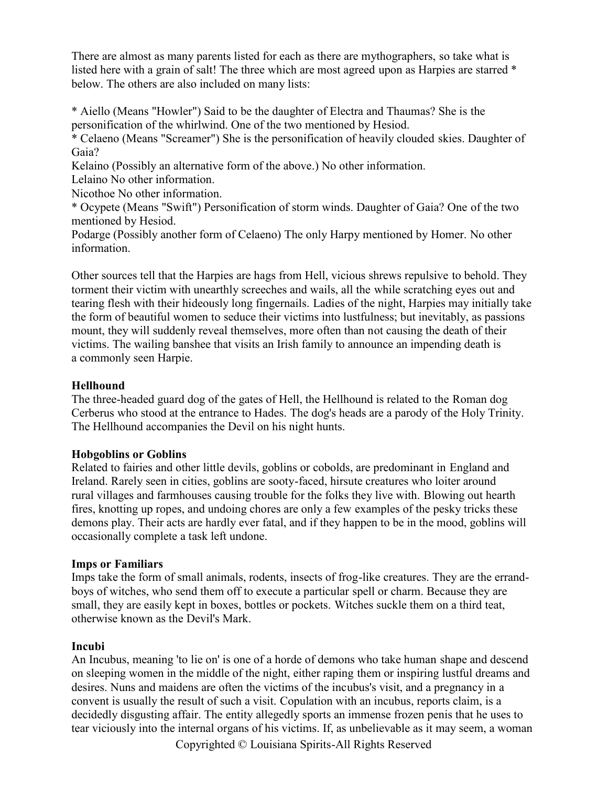There are almost as many parents listed for each as there are mythographers, so take what is listed here with a grain of salt! The three which are most agreed upon as Harpies are starred  $*$ below. The others are also included on many lists:

\* Aiello (Means "Howler") Said to be the daughter of Electra and Thaumas? She is the personification of the whirlwind. One of the two mentioned by Hesiod.

\* Celaeno (Means "Screamer") She is the personification of heavily clouded skies. Daughter of Gaia?

Kelaino (Possibly an alternative form of the above.) No other information.

Lelaino No other information.

Nicothoe No other information.

\* Ocypete (Means "Swift") Personification of storm winds. Daughter of Gaia? One of the two mentioned by Hesiod.

Podarge (Possibly another form of Celaeno) The only Harpy mentioned by Homer. No other information.

Other sources tell that the Harpies are hags from Hell, vicious shrews repulsive to behold. They torment their victim with unearthly screeches and wails, all the while scratching eyes out and tearing flesh with their hideously long fingernails. Ladies of the night, Harpies may initially take the form of beautiful women to seduce their victims into lustfulness; but inevitably, as passions mount, they will suddenly reveal themselves, more often than not causing the death of their victims. The wailing banshee that visits an Irish family to announce an impending death is a commonly seen Harpie.

# **Hellhound**

The three-headed guard dog of the gates of Hell, the Hellhound is related to the Roman dog Cerberus who stood at the entrance to Hades. The dog's heads are a parody of the Holy Trinity. The Hellhound accompanies the Devil on his night hunts.

#### **Hobgoblins or Goblins**

Related to fairies and other little devils, goblins or cobolds, are predominant in England and Ireland. Rarely seen in cities, goblins are sooty-faced, hirsute creatures who loiter around rural villages and farmhouses causing trouble for the folks they live with. Blowing out hearth fires, knotting up ropes, and undoing chores are only a few examples of the pesky tricks these demons play. Their acts are hardly ever fatal, and if they happen to be in the mood, goblins will occasionally complete a task left undone.

#### **Imps or Familiars**

Imps take the form of small animals, rodents, insects of frog-like creatures. They are the errand boys of witches, who send them off to execute a particular spell or charm. Because they are small, they are easily kept in boxes, bottles or pockets. Witches suckle them on a third teat, otherwise known as the Devil's Mark.

#### **Incubi**

An Incubus, meaning 'to lie on' is one of a horde of demons who take human shape and descend on sleeping women in the middle of the night, either raping them or inspiring lustful dreams and desires. Nuns and maidens are often the victims of the incubus's visit, and a pregnancy in a convent is usually the result of such a visit. Copulation with an incubus, reports claim, is a decidedly disgusting affair. The entity allegedly sports an immense frozen penis that he uses to tear viciously into the internal organs of his victims. If, as unbelievable as it may seem, a woman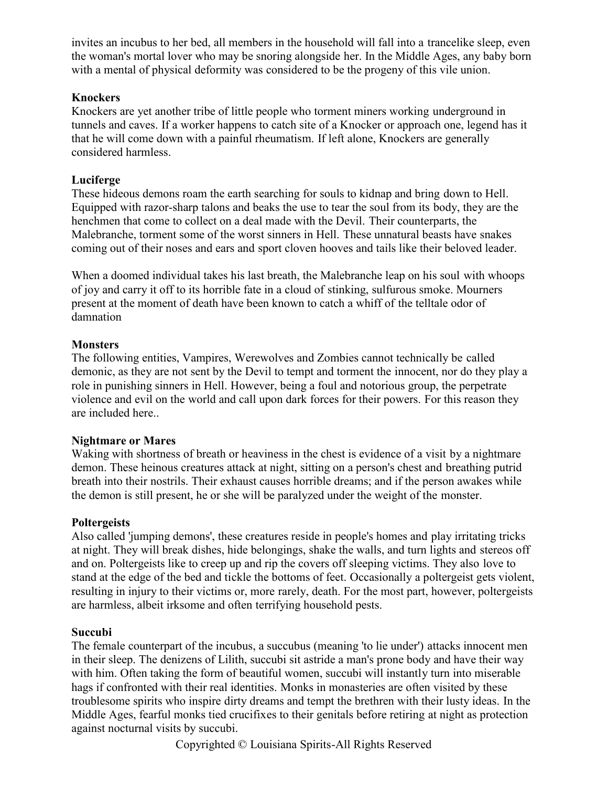invites an incubus to her bed, all members in the household will fall into a trancelike sleep, even the woman's mortal lover who may be snoring alongside her. In the Middle Ages, any baby born with a mental of physical deformity was considered to be the progeny of this vile union.

#### **Knockers**

Knockers are yet another tribe of little people who torment miners working underground in tunnels and caves. If a worker happens to catch site of a Knocker or approach one, legend has it that he will come down with a painful rheumatism. If left alone, Knockers are generally considered harmless.

# **Luciferge**

These hideous demons roam the earth searching for souls to kidnap and bring down to Hell. Equipped with razor-sharp talons and beaks the use to tear the soul from its body, they are the henchmen that come to collect on a deal made with the Devil. Their counterparts, the Malebranche, torment some of the worst sinners in Hell. These unnatural beasts have snakes coming out of their noses and ears and sport cloven hooves and tails like their beloved leader.

When a doomed individual takes his last breath, the Malebranche leap on his soul with whoops of joy and carry it off to its horrible fate in a cloud of stinking, sulfurous smoke. Mourners present at the moment of death have been known to catch a whiff of the telltale odor of damnation

### **Monsters**

The following entities, Vampires, Werewolves and Zombies cannot technically be called demonic, as they are not sent by the Devil to tempt and torment the innocent, nor do they play a role in punishing sinners in Hell. However, being a foul and notorious group, the perpetrate violence and evil on the world and call upon dark forces for their powers. For this reason they are included here..

#### **Nightmare or Mares**

Waking with shortness of breath or heaviness in the chest is evidence of a visit by a nightmare demon. These heinous creatures attack at night, sitting on a person's chest and breathing putrid breath into their nostrils. Their exhaust causes horrible dreams; and if the person awakes while the demon is still present, he or she will be paralyzed under the weight of the monster.

#### **Poltergeists**

Also called 'jumping demons', these creatures reside in people's homes and play irritating tricks at night. They will break dishes, hide belongings, shake the walls, and turn lights and stereos off and on. Poltergeists like to creep up and rip the covers off sleeping victims. They also love to stand at the edge of the bed and tickle the bottoms of feet. Occasionally a poltergeist gets violent, resulting in injury to their victims or, more rarely, death. For the most part, however, poltergeists are harmless, albeit irksome and often terrifying household pests.

#### **Succubi**

The female counterpart of the incubus, a succubus (meaning 'to lie under') attacks innocent men in their sleep. The denizens of Lilith, succubi sit astride a man's prone body and have their way with him. Often taking the form of beautiful women, succubi will instantly turn into miserable hags if confronted with their real identities. Monks in monasteries are often visited by these troublesome spirits who inspire dirty dreams and tempt the brethren with their lusty ideas. In the Middle Ages, fearful monks tied crucifixes to their genitals before retiring at night as protection against nocturnal visits by succubi.